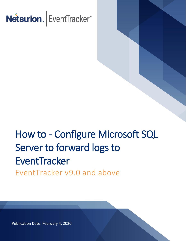

# How to - Configure Microsoft SQL Server to forward logs to **EventTracker** EventTracker v9.0 and above

Publication Date: February 4, 2020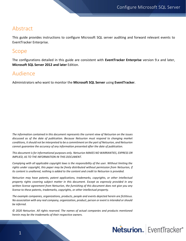## Abstract

This guide provides instructions to configure Microsoft SQL server auditing and forward relevant events to EventTracker Enterprise.

### Scope

The configurations detailed in this guide are consistent with **EventTracker Enterprise** version 9.x and later, **Microsoft SQL Server 2012 and later** Edition.

## Audience

Administrators who want to monitor the **Microsoft SQL Server** using **EventTracker**.

*The information contained in this document represents the current view of Netsurion on the issues discussed as of the date of publication. Because Netsurion must respond to changing market conditions, it should not be interpreted to be a commitment on the part of Netsurion, and Netsurion cannot guarantee the accuracy of any information presented after the date of publication.* 

*This document is for informational purposes only. Netsurion MAKES NO WARRANTIES, EXPRESS OR IMPLIED, AS TO THE INFORMATION IN THIS DOCUMENT.* 

*Complying with all applicable copyright laws is the responsibility of the user. Without limiting the rights under copyright, this paper may be freely distributed without permission from Netsurion, if its content is unaltered, nothing is added to the content and credit to Netsurion is provided.* 

*Netsurion may have patents, patent applications, trademarks, copyrights, or other intellectual property rights covering subject matter in this document. Except as expressly provided in any written license agreement from Netsurion, the furnishing of this document does not give you any license to these patents, trademarks, copyrights, or other intellectual property.* 

*The example companies, organizations, products, people and events depicted herein are fictitious. No association with any real company, organization, product, person or event is intended or should be inferred.* 

*© 2020 Netsurion. All rights reserved. The names of actual companies and products mentioned herein may be the trademarks of their respective owners.*

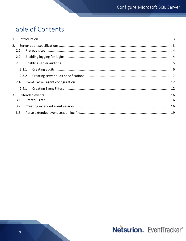## Table of Contents

| 2.1   |  |
|-------|--|
| 2.2   |  |
| 2.3   |  |
| 2.3.1 |  |
| 2.3.2 |  |
|       |  |
|       |  |
|       |  |
| 3.1   |  |
| 3.2   |  |
| 3.3   |  |

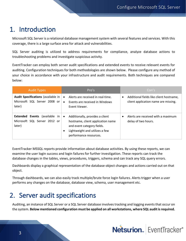## <span id="page-3-0"></span>1. Introduction

Microsoft SQL Server is a relational database management system with several features and services. With this coverage, there is a large surface area for attack and vulnerabilities.

SQL Server auditing is utilized to address requirements for compliance, analyze database actions to troubleshooting problems and investigate suspicious activity.

EventTracker can employ both server audit specifications and extended events to receive relevant events for auditing. Configuration techniques for both methodologies are shown below. Please configure any method of your choice in accordance with your infrastructure and audit requirements. Both techniques are compared below:

| <b>Audit Types</b>                                                                  | Pro's                                                                                                                                                                       | Con's                                                                           |
|-------------------------------------------------------------------------------------|-----------------------------------------------------------------------------------------------------------------------------------------------------------------------------|---------------------------------------------------------------------------------|
| <b>Audit Specifications (available in</b><br>Microsoft SQL Server 2008 or<br>later) | Alerts are received in real-time.<br>Events are received in Windows<br>$\bullet$<br>Event Viewer.                                                                           | Additional fields like client hostname,<br>client application name are missing. |
| <b>Extended Events</b> (available in<br>Microsoft SQL Server 2012 or<br>later)      | Additionally, provides a client<br>$\bullet$<br>hostname, client application name<br>and event category fields.<br>Lightweight and utilizes a few<br>performance resources. | Alerts are received with a maximum<br>delay of two hours.                       |

EventTracker MSSQL reports provide information about database activities. By using these reports, we can examine the user login success and login failures for further investigation. These reports can track the database changes in the tables, views, procedures, triggers, schema and can track any SQL query errors.

Dashboards display a graphical representation of the database object changes and actions carried out on that object.

Through dashboards, we can also easily track multiple/brute force login failures. Alerts trigger when a user performs any changes on the database, database view, schema, user management etc.

## <span id="page-3-1"></span>2. Server audit specifications

Auditing, an instance of SQL Server or a SQL Server database involves tracking and logging events that occur on the system. **Below mentioned configuration must be applied on all workstations, where SQL audit is required.**

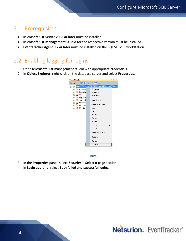## <span id="page-4-0"></span>2.1 Prerequisites

- **Microsoft SQL Server 2008 or later** must be installed.
- **Microsoft SQL Management Studio** for the respective version must be installed.
- **EventTracker Agent 9.x or later** must be installed on the SQL SERVER workstation.

## <span id="page-4-1"></span>2.2 Enabling logging for logins

- 1. Open **Microsoft SQL** management studio with appropriate credentials.
- 2. In **Object Explorer**, right-click on the database server and select **Properties**.





- 3. In the **Properties** panel, select **Security** in **Select a page** section.
- 4. In **Login auditing**, select **Both failed and successful logins.**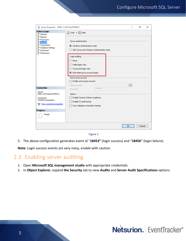| Ħ<br>Server Properties - PNPL-3-KP\SQLEXPRESS                                                                                                                                                                           |                                                                                                                                                                                                                                           |                    |  |    | □      | × |
|-------------------------------------------------------------------------------------------------------------------------------------------------------------------------------------------------------------------------|-------------------------------------------------------------------------------------------------------------------------------------------------------------------------------------------------------------------------------------------|--------------------|--|----|--------|---|
| Select a page<br>General                                                                                                                                                                                                | SScript v BHelp                                                                                                                                                                                                                           |                    |  |    |        |   |
| Memory<br>Processors<br>Security<br>Connections<br>Database Settings<br>Advanced<br>Permissions                                                                                                                         | Server authentication<br>Windows Authentication mode<br>◯ SQL Server and Windows Authentication mode<br>Login auditing<br>$\bigcirc$ None<br>$\bigcirc$ Failed logins only<br>Successful logins only<br>Both failed and successful logins |                    |  |    |        |   |
|                                                                                                                                                                                                                         | Server proxy account<br>Enable server proxy account<br>Proxy account:                                                                                                                                                                     |                    |  |    |        |   |
| <b>Connection</b>                                                                                                                                                                                                       | Password:                                                                                                                                                                                                                                 | <b>xxxxxxxxxxx</b> |  |    |        |   |
| Server:<br>PNPL-3-KP\SQLEXPRESS<br>Options<br>Enable Common Criteria compliance<br>Connection:<br>TOONS\kumarnitesh<br>Enable C2 audit tracing<br>View connection properties<br>男人<br>Cross database ownership chaining |                                                                                                                                                                                                                                           |                    |  |    |        |   |
| <b>Progress</b>                                                                                                                                                                                                         |                                                                                                                                                                                                                                           |                    |  |    |        |   |
| Ready                                                                                                                                                                                                                   |                                                                                                                                                                                                                                           |                    |  |    |        |   |
|                                                                                                                                                                                                                         |                                                                                                                                                                                                                                           |                    |  | 0K | Cancel |   |

5. The above configuration generates event id "**18453"** (login success) and "**18456**" (login failure).

**Note:** Login success events are very noisy, enable with caution.

## <span id="page-5-0"></span>2.3 Enabling server auditing

- 1. Open **Microsoft SQL management studio** with appropriate credentials.
- 2. In **Object Explorer**, expand **the Security** tab to view **Audits** and **Server Audit Specifications** options.

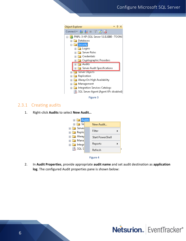

Figure 3

#### 2.3.1 Creating audits

<span id="page-6-0"></span>1. Right-click **Audits** to select **New Audit..**.





2. In **Audit Properties**, provide appropriate **audit name** and set audit destination as **application log**. The configured Audit properties pane is shown below:

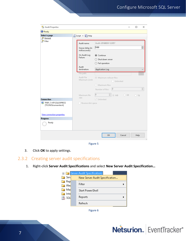

Figure 5

3. Click **OK** to apply settings.

#### <span id="page-7-0"></span>2.3.2 Creating server audit specifications

1. Right-click **Server Audit Specifications** and select **New Server Audit Specification…**



Figure 6

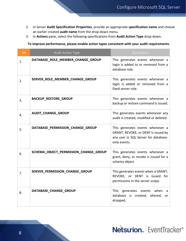- 2. In Server **Audit Specification Properties**, provide an appropriate **specification name** and choose an earlier created **audit name** from the drop-down menu.
- 3. In **Actions** pane, select the following specifications from **Audit Action Type** drop-down.

 **To improve performance, please enable action types consistent with your audit requirements.**

| <b>SN</b> | <b>Audit Action Type</b>              | Description                                                                                                                     |
|-----------|---------------------------------------|---------------------------------------------------------------------------------------------------------------------------------|
| 1.        | DATABASE_ROLE_MEMBER_CHANGE_GROUP     | This generates events whenever a<br>login is added to or removed from a<br>database role.                                       |
| 2.        | SERVER_ROLE_MEMBER_CHANGE_GROUP       | This generates events whenever a<br>login is added or removed from a<br>fixed server role.                                      |
| 3.        | BACKUP_RESTORE_GROUP                  | This generates events whenever a<br>backup or restore command is issued.                                                        |
| 4.        | AUDIT_CHANGE_GROUP                    | This generates events whenever any<br>audit is created, modified or deleted.                                                    |
| 5.        | DATABASE_PERMISSION_CHANGE_GROUP      | This generates events whenever a<br>GRANT, REVOKE, or DENY is issued by<br>any user in SQL Server for database-<br>only events. |
| 6.        | SCHEMA_OBJECT_PERMISSION_CHANGE_GROUP | This generates events whenever a<br>grant, deny, or revoke is issued for a<br>schema object.                                    |
| 7.        | SERVER_PERMISSION_CHANGE_GROUP        | This generates events when a GRANT,<br>REVOKE, or DENY is issued for<br>permissions in the server scope.                        |
| 8.        | DATABASE_CHANGE_GROUP                 | This generates events when a<br>database is created, altered,<br>or<br>dropped.                                                 |

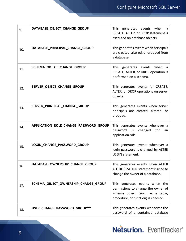| 9.  | DATABASE_OBJECT_CHANGE_GROUP           | This generates events when a<br>CREATE, ALTER, or DROP statement is<br>executed on database objects.                                           |
|-----|----------------------------------------|------------------------------------------------------------------------------------------------------------------------------------------------|
| 10. | DATABASE_PRINCIPAL_CHANGE_GROUP        | This generates events when principals<br>are created, altered, or dropped from<br>a database.                                                  |
| 11. | SCHEMA_OBJECT_CHANGE_GROUP             | This generates events when a<br>CREATE, ALTER, or DROP operation is<br>performed on a schema.                                                  |
| 12. | SERVER_OBJECT_CHANGE_GROUP             | This generates events for CREATE,<br>ALTER, or DROP operations on server<br>objects.                                                           |
| 13. | SERVER_PRINCIPAL_CHANGE_GROUP          | This generates events when server<br>principals are created, altered, or<br>dropped.                                                           |
| 14. | APPLICATION_ROLE_CHANGE_PASSWORD_GROUP | This generates events whenever a<br>password<br>changed<br>for<br>is<br>an<br>application role.                                                |
| 15. | LOGIN_CHANGE_PASSWORD_GROUP            | This generates events whenever a<br>login password is changed by ALTER<br>LOGIN statement.                                                     |
| 16. | DATABASE_OWNERSHIP_CHANGE_GROUP        | This generates events when ALTER<br>AUTHORIZATION statement is used to<br>change the owner of a database.                                      |
| 17. | SCHEMA_OBJECT_OWNERSHIP_CHANGE_GROUP   | This generates events when the<br>permissions to change the owner of<br>schema object (such as a table,<br>procedure, or function) is checked. |
| 18. | USER_CHANGE_PASSWORD_GROUP**           | This generates events whenever the<br>password of a contained database                                                                         |

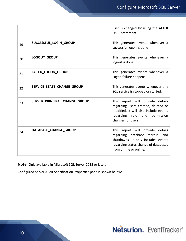|    |                               | user is changed by using the ALTER<br><b>USER statement.</b>                                                                                                                |
|----|-------------------------------|-----------------------------------------------------------------------------------------------------------------------------------------------------------------------------|
| 19 | SUCCESSFUL LOGIN GROUP        | This generates events whenever a<br>successful logon is done                                                                                                                |
| 20 | LOGOUT_GROUP                  | This generates events whenever a<br>logout is done                                                                                                                          |
| 21 | FAILED_LOGON_GROUP            | This generates events whenever a<br>Logon failure happens.                                                                                                                  |
| 22 | SERVICE STATE CHANGE GROUP    | This generates events whenever any<br>SQL service is stopped or started.                                                                                                    |
| 23 | SERVER_PRINCIPAL_CHANGE_GROUP | This report will provide details<br>regarding users created, deleted or<br>modified. It will also include events<br>regarding role and permission<br>changes for users.     |
| 24 | DATABASE_CHANGE_GROUP         | This report will provide details<br>regarding database startup and<br>shutdowns. It only includes events<br>regarding status change of databases<br>from offline or online. |

**Note:** Only available in Microsoft SQL Server 2012 or later.

Configured Server Audit Specification Properties pane is shown below:

Netsurion. EventTracker®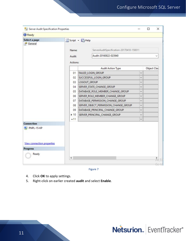| Select a page<br>General        | Name:                                                                      | Script - Help<br>ServerAuditSpecification-20170410-150011 |              |                    |  |
|---------------------------------|----------------------------------------------------------------------------|-----------------------------------------------------------|--------------|--------------------|--|
|                                 |                                                                            |                                                           |              |                    |  |
|                                 |                                                                            |                                                           |              |                    |  |
|                                 |                                                                            |                                                           |              |                    |  |
|                                 | Audit:                                                                     | Audit-20160822-023940                                     |              |                    |  |
|                                 | Actions:                                                                   |                                                           |              |                    |  |
|                                 |                                                                            | <b>Audit Action Type</b>                                  |              | <b>Object Clas</b> |  |
|                                 | 01                                                                         | FAILED_LOGIN_GROUP                                        | ୰            |                    |  |
|                                 | 02                                                                         | SUCCESSFUL_LOGIN_GROUP                                    | $\checkmark$ |                    |  |
|                                 | 03                                                                         | LOGOUT_GROUP                                              | $\checkmark$ |                    |  |
|                                 | SERVER_STATE_CHANGE_GROUP<br>04<br>DATABASE_ROLE_MEMBER_CHANGE_GROUP<br>05 |                                                           | V            |                    |  |
|                                 |                                                                            |                                                           | $\checkmark$ |                    |  |
|                                 | SERVER_ROLE_MEMBER_CHANGE_GROUP<br>06                                      |                                                           | $\checkmark$ |                    |  |
|                                 | 07                                                                         | DATABASE_PERMISSION_CHANGE_GROUP                          | $\checkmark$ |                    |  |
|                                 | 08                                                                         | SERVER_OBJECT_PERMISSION_CHANGE_GROUP                     |              |                    |  |
|                                 | 09                                                                         | DATABASE_PRINCIPAL_CHANGE_GROUP                           | $\checkmark$ |                    |  |
|                                 | $+10$                                                                      | SERVER_PRINCIPAL_CHANGE_GROUP                             | ₩            |                    |  |
|                                 | $*11$                                                                      |                                                           | $\checkmark$ |                    |  |
| <b>Connection</b><br>PNPL-15-KP |                                                                            |                                                           |              |                    |  |

Figure 7

- 4. Click **OK** to apply settings.
- 5. Right-click on earlier created **audit** and select **Enable**.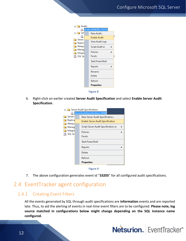

6. Right-click on earlier created **Server Audit Specification** and select **Enable Server Audit Specification**.

| Server Audit Specifications |                                |                                      |   |  |  |  |  |  |
|-----------------------------|--------------------------------|--------------------------------------|---|--|--|--|--|--|
|                             | ServerAuditSpecification-20160 |                                      |   |  |  |  |  |  |
| Server (                    |                                | New Server Audit Specification       |   |  |  |  |  |  |
| Replica                     |                                | Enable Server Audit Specification    |   |  |  |  |  |  |
| Always<br>Manag             |                                | Script Server Audit Specification as |   |  |  |  |  |  |
| Integra<br>, SQL Se<br>Ħ    |                                | Policies                             |   |  |  |  |  |  |
|                             |                                | Facets                               |   |  |  |  |  |  |
|                             |                                | Start PowerShell                     |   |  |  |  |  |  |
|                             |                                | Reports                              | Þ |  |  |  |  |  |
|                             |                                | Delete                               |   |  |  |  |  |  |
|                             |                                | Refresh                              |   |  |  |  |  |  |
|                             |                                | <b>Properties</b>                    |   |  |  |  |  |  |
|                             |                                |                                      |   |  |  |  |  |  |



7. The above configuration generates event id "**33205**" for all configured audit specifications.

## <span id="page-12-0"></span>2.4 EventTracker agent configuration

#### 2.4.1 Creating Event Filters

<span id="page-12-1"></span>All the events generated by SQL through audit specifications are **information** events and are reported late. Thus, to aid the alerting of events in real-time event filters are to be configured. **Please note, log source matched in configurations below might change depending on the SQL instance name configured.** 

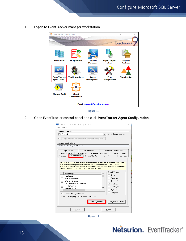1. Logon to EventTracker manager workstation.





2. Open EventTracker control panel and click **EventTracker Agent Configuration**.

| EventTracker Agent Configuration                       |                                                       |
|--------------------------------------------------------|-------------------------------------------------------|
| File<br>Help                                           |                                                       |
| Select Systems                                         |                                                       |
| PNPL-3-KP                                              | Agent based system                                    |
| Apply the following settings to specified Agents<br>n. |                                                       |
| Manager destinations:                                  |                                                       |
| esxwin2k12r2vm2. PNPL-3-KP                             |                                                       |
|                                                        |                                                       |
| Log Backup<br>Performance                              | Network Connections                                   |
| Logfile Monitor                                        | File Transfer   Config Assessment   syslog FTP server |
| Event Filters<br>Managers                              | System Monitor   Monitor Processes   Services         |
| Event Logs<br>Application                              | Error                                                 |
| HardwareEvents<br>Internet Explorer                    | Warning<br>$\nabla$ Information                       |
| Key Management Service                                 | <b>▽</b> Audit Success                                |
| Media Center                                           | Audit Failure                                         |
| Netwrix Auditor                                        | Critical<br>$\rightarrow$                             |
|                                                        | Verbose                                               |
| Enable SID Translation                                 |                                                       |
| Event Description: C Classic<br>$C$ XML                |                                                       |
|                                                        | <b>Filter Exception</b><br><b>Advanced Filters</b>    |
|                                                        |                                                       |
|                                                        |                                                       |
| Save                                                   | Close                                                 |

Figure 11

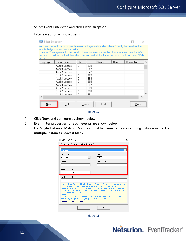#### 3. Select **Event Filters** tab and click **Filter Exception**.

#### Filter exception window opens.

| <b>Filter</b> Exception                                                                                                                                                                                                                                                                                                                                                 |               |        |     |        |      |             |                          |
|-------------------------------------------------------------------------------------------------------------------------------------------------------------------------------------------------------------------------------------------------------------------------------------------------------------------------------------------------------------------------|---------------|--------|-----|--------|------|-------------|--------------------------|
| You can choose to monitor specific events if they match a filter criteria. Specify the details of the<br>events that you would like to monitor.<br>Example: You may want to filter out all Information events other than those received from the Web<br>Service. To do this, set the Information filter and add a Filter Exception with Event Source as Web<br>Service. |               |        |     |        |      |             |                          |
| Log Type                                                                                                                                                                                                                                                                                                                                                                | Event Type    | Cate   | Eve | Source | User | Description | ́                        |
|                                                                                                                                                                                                                                                                                                                                                                         | Audit Success | n      | 620 |        |      |             |                          |
|                                                                                                                                                                                                                                                                                                                                                                         | Audit Success | 0      | 647 |        |      |             |                          |
|                                                                                                                                                                                                                                                                                                                                                                         | Audit Success | n      | 672 |        |      |             |                          |
|                                                                                                                                                                                                                                                                                                                                                                         | Audit Success | 0      | 682 |        |      |             |                          |
|                                                                                                                                                                                                                                                                                                                                                                         | Audit Success | 0      | 683 |        |      |             |                          |
|                                                                                                                                                                                                                                                                                                                                                                         | Audit Success | n      | 685 |        |      |             |                          |
|                                                                                                                                                                                                                                                                                                                                                                         | Audit Success | n      | 687 |        |      |             |                          |
|                                                                                                                                                                                                                                                                                                                                                                         | Audit Success | n      | 689 |        |      |             |                          |
|                                                                                                                                                                                                                                                                                                                                                                         | Audit Success | 0      | 690 |        |      |             |                          |
|                                                                                                                                                                                                                                                                                                                                                                         | Audit Success | n      | 691 |        |      |             | $\overline{\phantom{a}}$ |
| $\epsilon$                                                                                                                                                                                                                                                                                                                                                              |               |        |     |        |      |             | Y.                       |
| New                                                                                                                                                                                                                                                                                                                                                                     | Edit          | Delete |     | Find   |      | Close       |                          |



- 4. Click **New**, and configure as shown below:
- 5. Event filter properties for **audit events** are shown below:
- 6. For **Single Instance**, Match in Source should be named as corresponding instance name. For **multiple instances**, leave it blank.

| <b>Edit Event Details</b><br>×                                                                                                                                                                                                                                                                                                                                                                                                                                                                                                                                                              |  |  |  |  |  |
|---------------------------------------------------------------------------------------------------------------------------------------------------------------------------------------------------------------------------------------------------------------------------------------------------------------------------------------------------------------------------------------------------------------------------------------------------------------------------------------------------------------------------------------------------------------------------------------------|--|--|--|--|--|
| Event Details (empty field implies all matches)-                                                                                                                                                                                                                                                                                                                                                                                                                                                                                                                                            |  |  |  |  |  |
| Event ID:<br>33205                                                                                                                                                                                                                                                                                                                                                                                                                                                                                                                                                                          |  |  |  |  |  |
| Match in User :                                                                                                                                                                                                                                                                                                                                                                                                                                                                                                                                                                             |  |  |  |  |  |
| Match in Source :<br>MSSOLSERVER                                                                                                                                                                                                                                                                                                                                                                                                                                                                                                                                                            |  |  |  |  |  |
| Match in Event Descr :                                                                                                                                                                                                                                                                                                                                                                                                                                                                                                                                                                      |  |  |  |  |  |
| "Match in Event Descr" , "Match in User" and "Match in Source" field can take multiple.<br>strings separated with && or   .- && stands for AND condition.-    stands for OR condition.<br>For negating the result of match operation, prefix the string with "[\$NOT\$]". If there are<br>multiple strings, then the result of the whole expression is negated. Only one "[\$NOT\$]"<br>should be used in the string.<br>Example:<br>The string "[\$NOT\$]Logon Type: 4][Logon Type: 5" will match all events that DO NOT<br>contain "Logon Type: 4" or "Logon Type: 5" in the description. |  |  |  |  |  |
|                                                                                                                                                                                                                                                                                                                                                                                                                                                                                                                                                                                             |  |  |  |  |  |
| For more information click here.<br>OK<br>Cancel                                                                                                                                                                                                                                                                                                                                                                                                                                                                                                                                            |  |  |  |  |  |

Figure 13

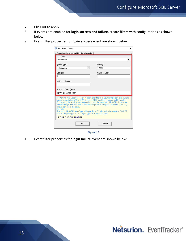- 7. Click **OK** to apply.
- 8. If events are enabled for **login success and failure**, create filters with configurations as shown below:
- 9. Event filter properties for **login success** event are shown below:

| <b>Edit Event Details</b>                                                                                                                                                                                                                                                                                                                                                                                                                                                                                                                                                                  | ×                  |  |  |  |  |
|--------------------------------------------------------------------------------------------------------------------------------------------------------------------------------------------------------------------------------------------------------------------------------------------------------------------------------------------------------------------------------------------------------------------------------------------------------------------------------------------------------------------------------------------------------------------------------------------|--------------------|--|--|--|--|
| Event Details (empty field implies all matches)<br>Log Type:<br>Application                                                                                                                                                                                                                                                                                                                                                                                                                                                                                                                |                    |  |  |  |  |
| Event Type:<br>Information                                                                                                                                                                                                                                                                                                                                                                                                                                                                                                                                                                 | Event ID:<br>18453 |  |  |  |  |
| Category:<br>O                                                                                                                                                                                                                                                                                                                                                                                                                                                                                                                                                                             | Match in User :    |  |  |  |  |
| Match in Source :<br>Match in Event Descr :<br>[\$NOT\$] <named pipe=""></named>                                                                                                                                                                                                                                                                                                                                                                                                                                                                                                           |                    |  |  |  |  |
| "Match in Event Descr" , "Match in User" and "Match in Source" field can take multiple<br>strings separated with && or II.- && stands for AND condition.- II stands for OR condition.<br>For negating the result of match operation, prefix the string with "[\$NOT\$]". If there are<br>multiple strings, then the result of the whole expression is negated. Only one "[\$NOT\$]"<br>should be used in the string.<br>Example:<br>The string "[\$NOT\$]Logon Type: 4][Logon Type: 5" will match all events that DO NOT<br>contain "Logon Type: 4" or "Logon Type: 5" in the description. |                    |  |  |  |  |
| For more information click here.                                                                                                                                                                                                                                                                                                                                                                                                                                                                                                                                                           |                    |  |  |  |  |
| ΩK                                                                                                                                                                                                                                                                                                                                                                                                                                                                                                                                                                                         | Cancel             |  |  |  |  |

10. Event filter properties for **login failure** event are shown below: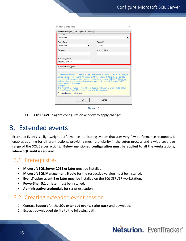| New Event Details                                                                                                                                                                                                                                                                                                                                                                                                                                                                                                                                                                                                                                        | ×               |  |  |  |
|----------------------------------------------------------------------------------------------------------------------------------------------------------------------------------------------------------------------------------------------------------------------------------------------------------------------------------------------------------------------------------------------------------------------------------------------------------------------------------------------------------------------------------------------------------------------------------------------------------------------------------------------------------|-----------------|--|--|--|
| Event Details (empty field implies all matches)                                                                                                                                                                                                                                                                                                                                                                                                                                                                                                                                                                                                          |                 |  |  |  |
| Log Type:                                                                                                                                                                                                                                                                                                                                                                                                                                                                                                                                                                                                                                                |                 |  |  |  |
| Application                                                                                                                                                                                                                                                                                                                                                                                                                                                                                                                                                                                                                                              |                 |  |  |  |
| Event Type:                                                                                                                                                                                                                                                                                                                                                                                                                                                                                                                                                                                                                                              | Event ID:       |  |  |  |
| Information<br>▼                                                                                                                                                                                                                                                                                                                                                                                                                                                                                                                                                                                                                                         | 18456           |  |  |  |
| Category:                                                                                                                                                                                                                                                                                                                                                                                                                                                                                                                                                                                                                                                | Match in User : |  |  |  |
|                                                                                                                                                                                                                                                                                                                                                                                                                                                                                                                                                                                                                                                          |                 |  |  |  |
| Match in Source :                                                                                                                                                                                                                                                                                                                                                                                                                                                                                                                                                                                                                                        |                 |  |  |  |
| MSSQLSERVER                                                                                                                                                                                                                                                                                                                                                                                                                                                                                                                                                                                                                                              |                 |  |  |  |
| Match in Event Descr :<br>"Match in Event Descr" , "Match in User" and "Match in Source" field can take multiple<br>strings separated with && or II.- && stands for AND condition.- II stands for OR condition.<br>For negating the result of match operation, prefix the string with "[\$NOT\$]". If there are<br>multiple strings, then the result of the whole expression is negated. Only one "[\$NOT\$]"<br>should be used in the string.<br>Example:<br>The string "[\$NOT\$]Logon Type: 4  Logon Type: 5" will match all events that DO NOT<br>contain "Logon Type: 4" or "Logon Type: 5" in the description.<br>For more information click here. |                 |  |  |  |
| OK                                                                                                                                                                                                                                                                                                                                                                                                                                                                                                                                                                                                                                                       | Cancel          |  |  |  |

Figure 15

11. Click **SAVE** in agent configuration window to apply changes.

## <span id="page-16-0"></span>3. Extended events

Extended Events is a lightweight performance monitoring system that uses very few performance resources. It enables auditing for different actions, providing much granularity in the setup process and a wide coverage range of the SQL Server activity. **Below mentioned configuration must be applied to all the workstations, where SQL audit is required.**

### <span id="page-16-1"></span>3.1 Prerequisites

- **Microsoft SQL Server 2012 or later** must be installed.
- **Microsoft SQL Management Studio** for the respective version must be installed.
- **EventTracker agent 8 or later** must be installed on the SQL SERVER workstation.
- **PowerShell 5.1 or later** must be installed**.**
- **Administrative credentials** for script execution.

### <span id="page-16-2"></span>3.2 Creating extended event session

- 1. Contact **Support** for the **SQL extended events script pack** and download.
- 2. Extract downloaded zip file to the following path.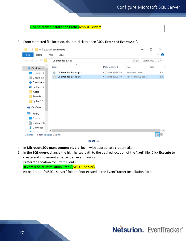<EventTracker Installation Path>\MSSQL Server\

3. From extracted file location, double-click to open "**SQL Extended Events.sql**".

| $\overline{\phantom{a}}$               | SQL Extended Events                   |                   |                   | □             | ×                 |
|----------------------------------------|---------------------------------------|-------------------|-------------------|---------------|-------------------|
| File<br>Home                           | Share<br>View                         |                   |                   |               | €<br>$\checkmark$ |
| 个<br>$\rightarrow$<br>$\sim$<br>r      | SQL Extended Events                   |                   | Ō<br>$\checkmark$ | Search SQL  p |                   |
| Quick access                           | Λ<br>Name                             | Date modified     | Type              | Size          |                   |
| Desktop #                              | SQL Extended Events.ps1<br><b>IES</b> | 07/21/16 12:53 PM | Windows PowerS    |               | 2 KB              |
| 兽<br>Docume #                          | SQL Extended Events.sql               | 07/21/16 12:02 PM | Microsoft SQL Ser |               | 4 K B             |
| Downloa #                              |                                       |                   |                   |               |                   |
| Pictures #<br>$\overline{\phantom{a}}$ |                                       |                   |                   |               |                   |
| Audit                                  |                                       |                   |                   |               |                   |
| Extended                               |                                       |                   |                   |               |                   |
| System32                               |                                       |                   |                   |               |                   |
| <b>C</b> OneDrive                      |                                       |                   |                   |               |                   |
| This PC<br>$\mathcal{L}_{\mathcal{A}}$ |                                       |                   |                   |               |                   |
| Desktop                                |                                       |                   |                   |               |                   |
| 兽<br>Documents                         |                                       |                   |                   |               |                   |
| Downloads                              |                                       |                   |                   |               |                   |
| <b>Niderate</b>                        | $\,$ $\,$                             |                   |                   |               | $\,$              |
| 1 item selected 3.79 KB<br>2 items     |                                       |                   |                   |               | 脏<br>Е            |



- 4. In **Microsoft SQL management studio**, login with appropriate credentials.
- 5. In the **SQL query**, change the highlighted path to the desired location of the "**.xel**" file. Click **Execute** to create and implement an extended event session. Preferred Location for ".xel" events:

<EventTracker Installation Path>\MSSQL Server\

**Note**: Create "MSSQL Server" folder if not existed in the EventTracker Installation Path.

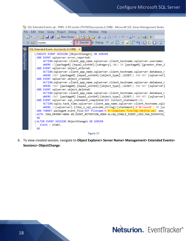| Sol. Extended Events.sql - PNPL-3-KP.master (TOONS) [109] - Microsoft SQL Server Management Studio                                                                 |  |  |  |  |
|--------------------------------------------------------------------------------------------------------------------------------------------------------------------|--|--|--|--|
| Edit View Query Project Debug Tools Window Help<br>File                                                                                                            |  |  |  |  |
| 國                                                                                                                                                                  |  |  |  |  |
| !Execute ▶ Debug ■ ✓ 趵 <mark>■ ■</mark> 的 吗 (猶 (\$) □<br>$\frac{1}{2}$ $\frac{1}{2}$ $\frac{1}{2}$ master<br>٠                                                     |  |  |  |  |
| Ţ                                                                                                                                                                  |  |  |  |  |
| Object Explorer<br>□CREATE EVENT SESSION [ObjectChange1] ON SERVER                                                                                                 |  |  |  |  |
| ADD EVENT sqlserver.error_reported(                                                                                                                                |  |  |  |  |
| ACTION(sqlserver.client app name,sqlserver.client hostname,sqlserver.username)                                                                                     |  |  |  |  |
| WHERE (([package0].[equal_uint64]([category],(4)) OR [package0].[greater_than_i                                                                                    |  |  |  |  |
| ADD EVENT sqlserver.object altered(<br>ACTION(sqlserver.client_app_name,sqlserver.client_hostname,sqlserver.database_n                                             |  |  |  |  |
| WHERE (NOT [package0].[equal_uint64]([object_type],(21587)) AND NOT [sqlserver]                                                                                    |  |  |  |  |
| ADD EVENT sqlserver.object created(                                                                                                                                |  |  |  |  |
| ACTION(sqlserver.client_app_name,sqlserver.client_hostname,sqlserver.database_n                                                                                    |  |  |  |  |
| WHERE (NOT [package0].[equal_uint64]([object_type],(21587)) AND NOT [sqlserver]                                                                                    |  |  |  |  |
| ADD EVENT sqlserver.object deleted(                                                                                                                                |  |  |  |  |
| ACTION(sqlserver.client_app_name,sqlserver.client_hostname,sqlserver.database_n                                                                                    |  |  |  |  |
| WHERE (NOT [package0].[equal_uint64]([object_type],(21587)) AND NOT [sqlserver]                                                                                    |  |  |  |  |
| ADD EVENT sqlserver.sql_statement_completed(SET collect_statement=(1)                                                                                              |  |  |  |  |
| ACTION(sqlos.task_time,sqlserver.client_app_name,sqlserver.client_hostname,sqls<br>WHERE (([sqlserver].[like_i_sql_unicode_string]([statement],N'%Create%') OR [sq |  |  |  |  |
| ADD TARGET package0.event_file(SET filename=N'D:\template file\SQL\ObjCha.xel',max_                                                                                |  |  |  |  |
| WITH (MAX_MEMORY=4096 KB, EVENT_RETENTION_MODE=ALLOW_SINGLE_EVENT_LOSS, MAX_DISPATCH_                                                                              |  |  |  |  |
| GO                                                                                                                                                                 |  |  |  |  |
| □ALTER EVENT SESSION ObjectChange1 ON SERVER                                                                                                                       |  |  |  |  |
| $STATE = STATE;$                                                                                                                                                   |  |  |  |  |
| GO                                                                                                                                                                 |  |  |  |  |

6. To view created session, navigate to **Object Explorer> Server Name> Management> Extended Events> Sessions> ObjectChange**.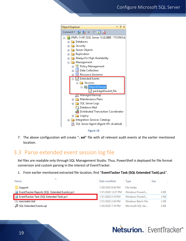

Figure 18

7. The above configuration will create "**. xel**" file with all relevant audit events at the earlier mentioned location.

## <span id="page-19-0"></span>3.3 Parse extended event session log file

Xel files are readable only through SQL Management Studio. Thus, PowerShell is deployed for file format conversion and custom parsing in the interest of EventTracker.

1. From earlier mentioned extracted file location, find "**EventTacker Task (SQL Extended Task).ps1**".

| ∧<br>Name                                      | Date modified      | Type               | Size |
|------------------------------------------------|--------------------|--------------------|------|
| Support                                        | 1/30/2020 8:56 PM  | File folder        |      |
| EventTracker Reports (SQL Extended Events).ps1 | 1/31/2020 12:37 PM | Windows PowerS     | 4 KB |
| EventTracker Task (SQL Extended Task).ps1      | 1/31/2020 2:19 PM  | Windows PowerS     | 3 KB |
| l <sup>®</sup> execreator.bat                  | 1/31/2020 2:26 PM  | Windows Batch File | 2 KB |
| SQL Extended Events.sql                        | 1/30/2020 7:18 PM  | Microsoft SOL Ser  | 4 KB |